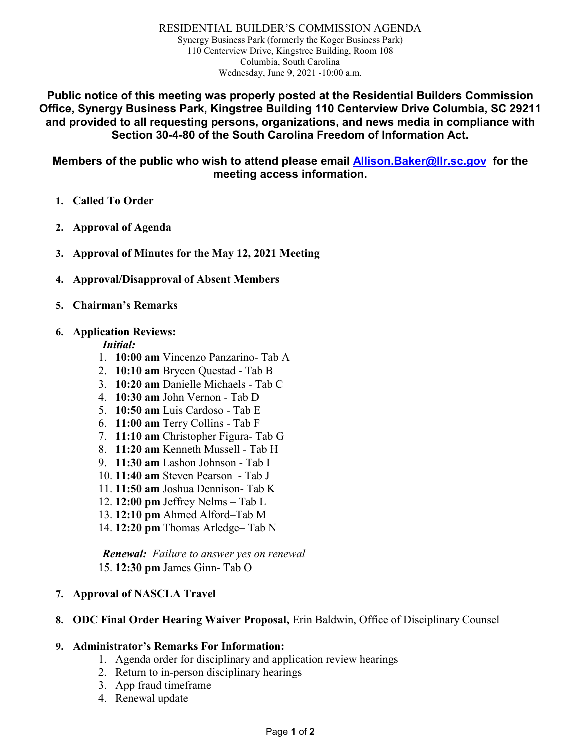RESIDENTIAL BUILDER'S COMMISSION AGENDA Synergy Business Park (formerly the Koger Business Park) 110 Centerview Drive, Kingstree Building, Room 108 Columbia, South Carolina Wednesday, June 9, 2021 -10:00 a.m.

**Public notice of this meeting was properly posted at the Residential Builders Commission Office, Synergy Business Park, Kingstree Building 110 Centerview Drive Columbia, SC 29211 and provided to all requesting persons, organizations, and news media in compliance with Section 30-4-80 of the South Carolina Freedom of Information Act.**

**Members of the public who wish to attend please email [Allison.Baker@llr.sc.gov](mailto:Allison.Baker@llr.sc.gov) for the meeting access information.**

- **1. Called To Order**
- **2. Approval of Agenda**
- **3. Approval of Minutes for the May 12, 2021 Meeting**
- **4. Approval/Disapproval of Absent Members**
- **5. Chairman's Remarks**

#### **6. Application Reviews:**

#### *Initial:*

- 1. **10:00 am** Vincenzo Panzarino- Tab A
- 2. **10:10 am** Brycen Questad Tab B
- 3. **10:20 am** Danielle Michaels Tab C
- 4. **10:30 am** John Vernon Tab D
- 5. **10:50 am** Luis Cardoso Tab E
- 6. **11:00 am** Terry Collins Tab F
- 7. **11:10 am** Christopher Figura- Tab G
- 8. **11:20 am** Kenneth Mussell Tab H
- 9. **11:30 am** Lashon Johnson Tab I
- 10. **11:40 am** Steven Pearson Tab J
- 11. **11:50 am** Joshua Dennison- Tab K
- 12. **12:00 pm** Jeffrey Nelms Tab L
- 13. **12:10 pm** Ahmed Alford–Tab M
- 14. **12:20 pm** Thomas Arledge– Tab N

*Renewal: Failure to answer yes on renewal*  15. **12:30 pm** James Ginn- Tab O

#### **7. Approval of NASCLA Travel**

#### **8. ODC Final Order Hearing Waiver Proposal,** Erin Baldwin, Office of Disciplinary Counsel

#### **9. Administrator's Remarks For Information:**

- 1. Agenda order for disciplinary and application review hearings
- 2. Return to in-person disciplinary hearings
- 3. App fraud timeframe
- 4. Renewal update